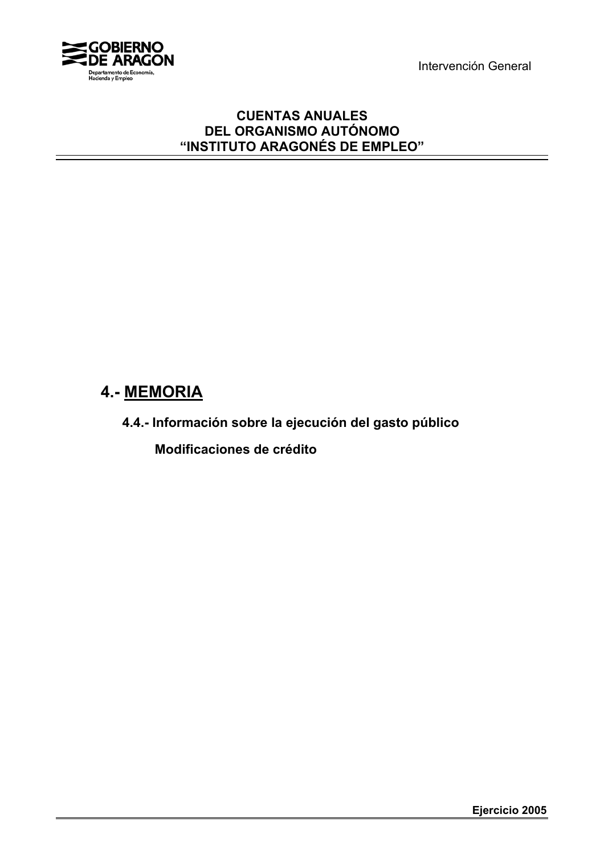Intervención General



### **CUENTAS ANUALES DEL ORGANISMO AUTÓNOMO "INSTITUTO ARAGONÉS DE EMPLEO"**

# **4.- MEMORIA**

**4.4.- Información sobre la ejecución del gasto público**

 **Modificaciones de crédito**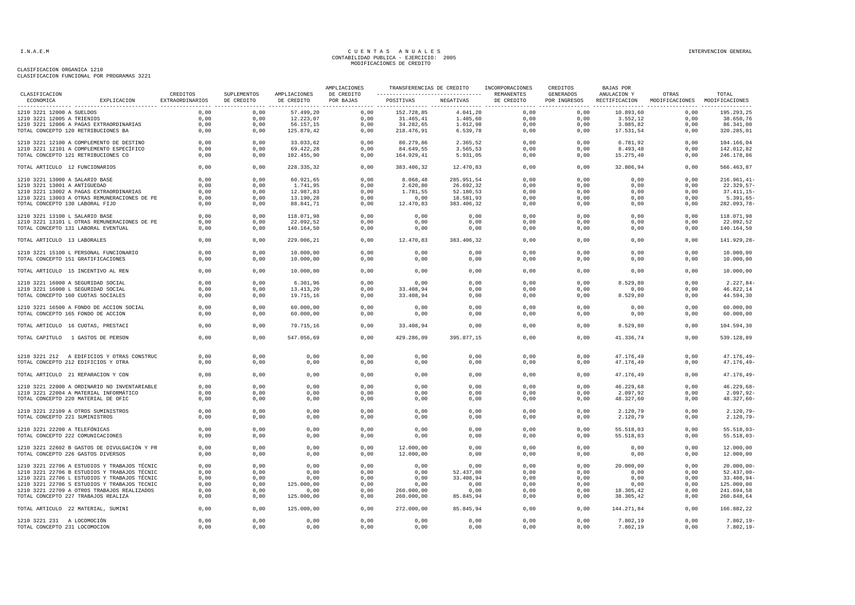|                                          |                                              |                             |                                  |                            | AMPLIACIONES            | TRANSFERENCIAS DE CREDITO<br>---------------------------------- |            | INCORPORACIONES          | CREDITOS                  | BAJAS POR                    |                                        |                           |
|------------------------------------------|----------------------------------------------|-----------------------------|----------------------------------|----------------------------|-------------------------|-----------------------------------------------------------------|------------|--------------------------|---------------------------|------------------------------|----------------------------------------|---------------------------|
| CLASIFICACION<br>ECONOMICA               | EXPLICACION                                  | CREDITOS<br>EXTRAORDINARIOS | <b>SUPLEMENTOS</b><br>DE CREDITO | AMPLIACIONES<br>DE CREDITO | DE CREDITO<br>POR BAJAS | POSITIVAS<br>----------------- ------------------               | NEGATIVAS  | REMANENTES<br>DE CREDITO | GENERADOS<br>POR INGRESOS | ANULACION Y<br>RECTIFICACION | OTRAS<br>MODIFICACIONES MODIFICACIONES | TOTAL<br>---------------- |
| 1210 3221 12000 A SUELDOS                |                                              | 0,00                        | 0,00                             | 57.499,20                  | 0,00                    | 152.728,85                                                      | 4.041,20   | 0,00                     | 0,00                      | 10.893,60                    | 0,00                                   | 195.293,25                |
| 1210 3221 12005 A TRIENIOS               |                                              | 0,00                        | 0,00                             | 12.223,07                  | 0,00                    | 31.465,41                                                       | 1.485,60   | 0,00                     | 0,00                      | 3.552,12                     | 0,00                                   | 38.650,76                 |
| 1210 3221 12006 A PAGAS EXTRAORDINARIAS  |                                              | 0,00                        | 0,00                             | 56.157,15                  | 0.00                    | 34.282,65                                                       | 1.012,98   | 0.00                     | 0.00                      | 3.085,82                     | 0.00                                   | 86.341,00                 |
| TOTAL CONCEPTO 120 RETRIBUCIONES BA      |                                              | 0,00                        | 0,00                             | 125.879,42                 | 0,00                    | 218.476,91                                                      | 6.539,78   | 0,00                     | 0,00                      | 17.531,54                    | 0,00                                   | 320.285,01                |
| 1210 3221 12100 A COMPLEMENTO DE DESTINO |                                              | 0,00                        | 0,00                             | 33.033,62                  | 0,00                    | 80.279,86                                                       | 2.365,52   | 0,00                     | 0,00                      | 6.781,92                     | 0,00                                   | 104.166,04                |
| 1210 3221 12101 A COMPLEMENTO ESPECÍFICO |                                              | 0,00                        | 0,00                             | 69.422,28                  | 0,00                    | 84.649,55                                                       | 3.565,53   | 0,00                     | 0,00                      | 8.493,48                     | 0,00                                   | 142.012,82                |
| TOTAL CONCEPTO 121 RETRIBUCIONES CO      |                                              | 0,00                        | 0,00                             | 102.455,90                 | 0,00                    | 164.929,41                                                      | 5.931,05   | 0,00                     | 0,00                      | 15.275,40                    | 0,00                                   | 246.178,86                |
| TOTAL ARTICULO 12 FUNCIONARIOS           |                                              | 0,00                        | 0,00                             | 228.335,32                 | 0,00                    | 383.406,32                                                      | 12.470,83  | 0,00                     | 0,00                      | 32.806,94                    | 0,00                                   | 566.463,87                |
| 1210 3221 13000 A SALARIO BASE           |                                              | 0.00                        | 0,00                             | 60.921.65                  | 0.00                    | 8.068,48                                                        | 285.951.54 | 0.00                     | 0.00                      | 0.00                         | 0.00                                   | $216.961, 41-$            |
| 1210 3221 13001 A ANTIGUEDAD             |                                              | 0,00                        | 0,00                             | 1.741,95                   | 0,00                    | 2.620,80                                                        | 26.692,32  | 0,00                     | 0,00                      | 0,00                         | 0,00                                   | $22.329,57-$              |
| 1210 3221 13002 A PAGAS EXTRAORDINARIAS  |                                              | 0,00                        | 0,00                             | 12.987,83                  | 0,00                    | 1.781,55                                                        | 52.180,53  | 0,00                     | 0,00                      | 0,00                         | 0,00                                   | $37.411, 15 -$            |
|                                          | 1210 3221 13003 A OTRAS REMUNERACIONES DE PE | 0,00                        | 0,00                             | 13.190,28                  | 0,00                    | 0,00                                                            | 18.581,93  | 0,00                     | 0,00                      | 0,00                         | 0,00                                   | $5.391,65-$               |
| TOTAL CONCEPTO 130 LABORAL FIJO          |                                              | 0,00                        | 0,00                             | 88.841,71                  | 0,00                    | 12.470,83                                                       | 383.406,32 | 0,00                     | 0,00                      | 0,00                         | 0,00                                   | 282.093,78-               |
| 1210 3221 13100 L SALARIO BASE           |                                              | 0,00                        | 0,00                             | 118.071,98                 | 0,00                    | 0,00                                                            | 0,00       | 0,00                     | 0,00                      | 0,00                         | 0,00                                   | 118.071,98                |
|                                          | 1210 3221 13101 L OTRAS REMUNERACIONES DE PE | 0,00                        | 0,00                             | 22.092,52                  | 0,00                    | 0,00                                                            | 0,00       | 0,00                     | 0,00                      | 0,00                         | 0,00                                   | 22.092,52                 |
| TOTAL CONCEPTO 131 LABORAL EVENTUAL      |                                              | 0,00                        | 0,00                             | 140.164,50                 | 0,00                    | 0,00                                                            | 0,00       | 0,00                     | 0,00                      | 0,00                         | 0,00                                   | 140.164,50                |
| TOTAL ARTICULO 13 LABORALES              |                                              | 0,00                        | 0,00                             | 229.006,21                 | 0,00                    | 12.470,83                                                       | 383.406,32 | 0,00                     | 0,00                      | 0,00                         | 0,00                                   | 141.929,28-               |
| 1210 3221 15100 L PERSONAL FUNCIONARIO   |                                              | 0,00                        | 0,00                             | 10.000,00                  | 0,00                    | 0,00                                                            | 0,00       | 0,00                     | 0,00                      | 0,00                         | 0,00                                   | 10.000,00                 |
| TOTAL CONCEPTO 151 GRATIFICACIONES       |                                              | 0,00                        | 0,00                             | 10.000,00                  | 0,00                    | 0,00                                                            | 0,00       | 0,00                     | 0,00                      | 0,00                         | 0,00                                   | 10.000,00                 |
| TOTAL ARTICULO 15 INCENTIVO AL REN       |                                              | 0,00                        | 0,00                             | 10.000,00                  | 0,00                    | 0,00                                                            | 0,00       | 0,00                     | 0,00                      | 0,00                         | 0,00                                   | 10.000,00                 |
| 1210 3221 16000 A SEGURIDAD SOCIAL       |                                              | 0,00                        | 0,00                             | 6.301,96                   | 0,00                    | 0,00                                                            | 0,00       | 0,00                     | 0,00                      | 8.529,80                     | 0,00                                   | 2.227,84-                 |
| 1210 3221 16000 L SEGURIDAD SOCIAL       |                                              | 0,00                        | 0,00                             | 13.413,20                  | 0,00                    | 33.408,94                                                       | 0,00       | 0,00                     | 0,00                      | 0,00                         | 0,00                                   | 46.822,14                 |
| TOTAL CONCEPTO 160 CUOTAS SOCIALES       |                                              | 0,00                        | 0,00                             | 19.715,16                  | 0,00                    | 33.408,94                                                       | 0,00       | 0,00                     | 0,00                      | 8.529,80                     | 0,00                                   | 44.594,30                 |
| 1210 3221 16500 A FONDO DE ACCION SOCIAL |                                              | 0,00                        | 0,00                             | 60.000,00                  | 0,00                    | 0,00                                                            | 0,00       | 0,00                     | 0,00                      | 0,00                         | 0,00                                   | 60.000,00                 |
| TOTAL CONCEPTO 165 FONDO DE ACCION       |                                              | 0,00                        | 0,00                             | 60.000,00                  | 0,00                    | 0,00                                                            | 0,00       | 0,00                     | 0,00                      | 0,00                         | 0,00                                   | 60.000,00                 |
| TOTAL ARTICULO 16 CUOTAS, PRESTACI       |                                              | 0,00                        | 0,00                             | 79.715,16                  | 0,00                    | 33.408,94                                                       | 0,00       | 0,00                     | 0,00                      | 8.529,80                     | 0,00                                   | 104.594,30                |
| TOTAL CAPITULO 1 GASTOS DE PERSON        |                                              | 0,00                        | 0,00                             | 547.056,69                 | 0,00                    | 429.286,09                                                      | 395.877,15 | 0,00                     | 0,00                      | 41.336,74                    | 0,00                                   | 539.128,89                |
|                                          |                                              |                             |                                  |                            |                         |                                                                 |            |                          |                           |                              |                                        |                           |
|                                          | 1210 3221 212 A EDIFICIOS Y OTRAS CONSTRUC   | 0,00                        | 0,00                             | 0,00                       | 0,00                    | 0,00                                                            | 0,00       | 0,00                     | 0,00                      | 47.176,49                    | 0,00                                   | $47.176, 49-$             |
| TOTAL CONCEPTO 212 EDIFICIOS Y OTRA      |                                              | 0,00                        | 0,00                             | 0,00                       | 0,00                    | 0,00                                                            | 0,00       | 0,00                     | 0,00                      | 47.176,49                    | 0,00                                   | $47.176, 49-$             |
| TOTAL ARTICULO 21 REPARACION Y CON       |                                              | 0,00                        | 0,00                             | 0,00                       | 0,00                    | 0,00                                                            | 0,00       | 0,00                     | 0,00                      | 47.176,49                    | 0,00                                   | $47.176, 49-$             |
|                                          | 1210 3221 22000 A ORDINARIO NO INVENTARIABLE | 0,00                        | 0,00                             | 0,00                       | 0,00                    | 0,00                                                            | 0,00       | 0,00                     | 0,00                      | 46.229,68                    | 0,00                                   | $46.229,68-$              |
| 1210 3221 22004 A MATERIAL INFORMÁTICO   |                                              | 0,00                        | 0,00                             | 0,00                       | 0,00                    | 0,00                                                            | 0,00       | 0,00                     | 0,00                      | 2.097,92                     | 0,00                                   | $2.097, 92 -$             |
| TOTAL CONCEPTO 220 MATERIAL DE OFIC      |                                              | 0,00                        | 0,00                             | 0,00                       | 0,00                    | 0,00                                                            | 0,00       | 0,00                     | 0,00                      | 48.327,60                    | 0,00                                   | 48.327,60-                |
| 1210 3221 22109 A OTROS SUMINISTROS      |                                              | 0,00                        | 0,00                             | 0,00                       | 0,00                    | 0.00                                                            | 0,00       | 0,00                     | 0,00                      | 2.120,79                     | 0,00                                   | $2.120, 79-$              |
| TOTAL CONCEPTO 221 SUMINISTROS           |                                              | 0,00                        | 0,00                             | 0,00                       | 0,00                    | 0,00                                                            | 0,00       | 0,00                     | 0,00                      | 2.120,79                     | 0,00                                   | $2.120, 79-$              |
| 1210 3221 22200 A TELEFÓNICAS            |                                              | 0,00                        | 0,00                             | 0,00                       | 0,00                    | 0,00                                                            | 0,00       | 0,00                     | 0,00                      | 55.518,03                    | 0,00                                   | $55.518,03-$              |
| TOTAL CONCEPTO 222 COMUNICACIONES        |                                              | 0,00                        | 0,00                             | 0,00                       | 0,00                    | 0,00                                                            | 0,00       | 0,00                     | 0,00                      | 55.518,03                    | 0,00                                   | $55.518,03-$              |
|                                          | 1210 3221 22602 B GASTOS DE DIVULGACIÓN Y PR | 0.00                        | 0.00                             | 0.00                       | 0.00                    | 12,000,00                                                       | 0.00       | 0.00                     | 0.00                      | 0.00                         | 0.00                                   | 12,000,00                 |
| TOTAL CONCEPTO 226 GASTOS DIVERSOS       |                                              | 0,00                        | 0,00                             | 0,00                       | 0,00                    | 12.000,00                                                       | 0,00       | 0,00                     | 0,00                      | 0,00                         | 0,00                                   | 12.000,00                 |
|                                          |                                              |                             |                                  |                            |                         |                                                                 |            |                          |                           |                              |                                        |                           |
|                                          | 1210 3221 22706 A ESTUDIOS Y TRABAJOS TÉCNIC | 0,00                        | 0,00                             | 0,00                       | 0,00                    | 0,00                                                            | 0,00       | 0,00                     | 0,00                      | 20.000,00                    | 0,00                                   | $20.000,00-$              |
|                                          | 1210 3221 22706 B ESTUDIOS Y TRABAJOS TÉCNIC | 0,00                        | 0,00                             | 0,00                       | 0,00                    | 0,00                                                            | 52.437,00  | 0,00                     | 0,00                      | 0,00                         | 0,00                                   | $52.437,00-$              |
|                                          | 1210 3221 22706 L ESTUDIOS Y TRABAJOS TÉCNIC | 0,00                        | 0,00                             | 0,00                       | 0,00                    | 0,00                                                            | 33.408,94  | 0,00                     | 0,00                      | 0,00                         | 0,00                                   | $33.408,94-$              |
|                                          | 1210 3221 22706 S ESTUDIOS Y TRABAJOS TECNIC | 0,00                        | 0,00                             | 125.000,00                 | 0,00                    | 0,00                                                            | 0,00       | 0,00                     | 0,00                      | 0,00                         | 0,00                                   | 125.000,00                |
|                                          | 1210 3221 22709 A OTROS TRABAJOS REALIZADOS  | 0,00                        | 0,00                             | 0,00                       | 0,00                    | 260.000,00                                                      | 0,00       | 0,00                     | 0,00                      | 18.305,42                    | 0,00                                   | 241.694,58                |
| TOTAL CONCEPTO 227 TRABAJOS REALIZA      |                                              | 0,00                        | 0,00                             | 125.000,00                 | 0,00                    | 260.000,00                                                      | 85.845,94  | 0,00                     | 0,00                      | 38.305,42                    | 0,00                                   | 260.848,64                |
| TOTAL ARTICULO 22 MATERIAL, SUMINI       |                                              | 0,00                        | 0,00                             | 125.000,00                 | 0,00                    | 272.000,00                                                      | 85.845,94  | 0,00                     | 0,00                      | 144.271,84                   | 0,00                                   | 166.882,22                |
| 1210 3221 231 A LOCOMOCIÓN               |                                              | 0,00                        | 0,00                             | 0,00                       | 0,00                    | 0,00                                                            | 0,00       | 0,00                     | 0,00                      | 7.802,19                     | 0,00                                   | $7.802, 19-$              |
| TOTAL CONCEPTO 231 LOCOMOCION            |                                              | 0,00                        | 0,00                             | 0,00                       | 0,00                    | 0,00                                                            | 0,00       | 0,00                     | 0,00                      | 7.802,19                     | 0,00                                   | $7.802, 19-$              |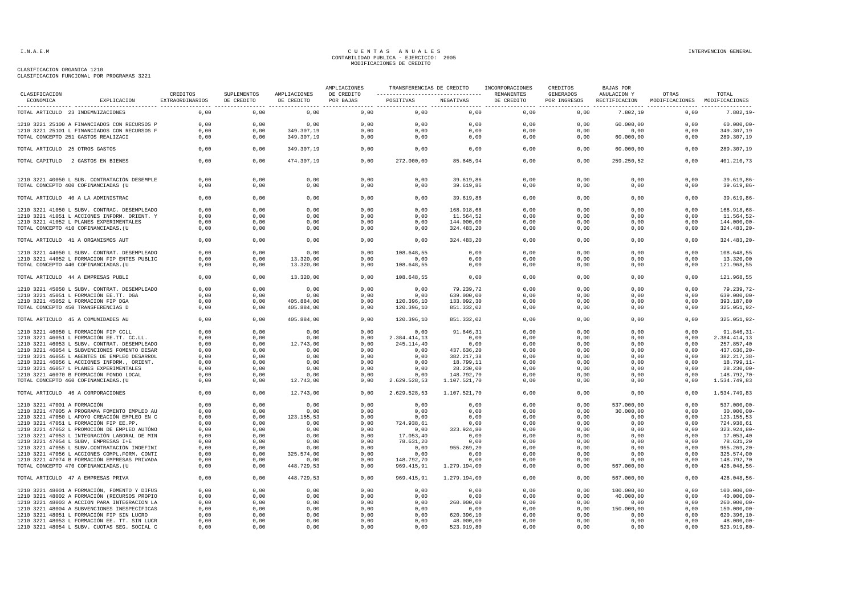|                             |                                               |                                    |                           |                            | AMPLIACIONES            | TRANSFERENCIAS DE CREDITO                       |              | INCORPORACIONES          | CREDITOS                  | <b>BAJAS POR</b>             | OTRAS<br>TOTAL<br>MODIFICACIONES<br>MODIFICACIONES |                 |
|-----------------------------|-----------------------------------------------|------------------------------------|---------------------------|----------------------------|-------------------------|-------------------------------------------------|--------------|--------------------------|---------------------------|------------------------------|----------------------------------------------------|-----------------|
| CLASIFICACION<br>ECONOMICA  | EXPLICACION                                   | CREDITOS<br><b>EXTRAORDINARIOS</b> | SUPLEMENTOS<br>DE CREDITO | AMPLIACIONES<br>DE CREDITO | DE CREDITO<br>POR BAJAS | ----------------------------------<br>POSITIVAS | NEGATIVAS    | REMANENTES<br>DE CREDITO | GENERADOS<br>POR INGRESOS | ANULACION Y<br>RECTIFICACION |                                                    |                 |
|                             | TOTAL ARTICULO 23 INDEMNIZACIONES             | 0,00                               | 0,00                      | 0,00                       | 0,00                    | 0,00                                            | 0,00         | 0,00                     | 0,00                      | 7.802,19                     | 0,00                                               | $7.802, 19-$    |
|                             | 1210 3221 25100 A FINANCIADOS CON RECURSOS P  | 0,00                               | 0,00                      | 0,00                       | 0,00                    | 0,00                                            | 0,00         | 0,00                     | 0,00                      | 60.000,00                    | 0,00                                               | $60.000,00 -$   |
|                             | 1210 3221 25101 L FINANCIADOS CON RECURSOS F  | 0,00                               | 0,00                      | 349.307,19                 | 0,00                    | 0,00                                            | 0,00         | 0,00                     | 0,00                      | 0,00                         | 0,00                                               | 349.307,19      |
|                             | TOTAL CONCEPTO 251 GASTOS REALIZACI           | 0,00                               | 0,00                      | 349.307,19                 | 0,00                    | 0,00                                            | 0,00         | 0,00                     | 0,00                      | 60.000,00                    | 0,00                                               | 289.307,19      |
|                             | TOTAL ARTICULO 25 OTROS GASTOS                | 0,00                               | 0,00                      | 349.307,19                 | 0,00                    | 0,00                                            | 0,00         | 0,00                     | 0,00                      | 60.000,00                    | 0,00                                               | 289.307,19      |
|                             | TOTAL CAPITULO 2 GASTOS EN BIENES             | 0,00                               | 0,00                      | 474.307,19                 | 0,00                    | 272.000,00                                      | 85.845,94    | 0,00                     | 0,00                      | 259.250,52                   | 0,00                                               | 401.210,73      |
|                             | 1210 3221 40050 L SUB. CONTRATACIÓN DESEMPLE  | 0,00                               | 0,00                      | 0,00                       | 0,00                    | 0,00                                            | 39.619,86    | 0.00                     | 0,00                      | 0,00                         | 0,00                                               | 39.619,86       |
|                             | TOTAL CONCEPTO 400 COFINANCIADAS (U           | 0,00                               | 0,00                      | 0,00                       | 0,00                    | 0,00                                            | 39.619,86    | 0,00                     | 0,00                      | 0,00                         | 0,00                                               | 39.619,86-      |
|                             | TOTAL ARTICULO 40 A LA ADMINISTRAC            | 0,00                               | 0,00                      | 0,00                       | 0,00                    | 0,00                                            | 39.619,86    | 0,00                     | 0,00                      | 0,00                         | 0,00                                               | 39.619,86-      |
|                             | 1210 3221 41050 L SUBV. CONTRAC. DESEMPLEADO  | 0,00                               | 0,00                      | 0,00                       | 0,00                    | 0,00                                            | 168.918,68   | 0,00                     | 0,00                      | 0,00                         | 0,00                                               | 168.918,68-     |
|                             | 1210 3221 41051 L ACCIONES INFORM. ORIENT. Y  | 0,00                               | 0,00                      | 0,00                       | 0,00                    | 0,00                                            | 11.564,52    | 0,00                     | 0,00                      | 0,00                         | 0,00                                               | 11.564,52-      |
|                             | 1210 3221 41052 L PLANES EXPERIMENTALES       | 0,00                               | 0,00                      | 0,00                       | 0,00                    | 0,00                                            | 144.000,00   | 0,00                     | 0,00                      | 0,00                         | 0,00                                               | 144.000,00-     |
|                             | TOTAL CONCEPTO 410 COFINANCIADAS. (U          | 0,00                               | 0,00                      | 0,00                       | 0,00                    | 0,00                                            | 324.483,20   | 0,00                     | 0,00                      | 0,00                         | 0,00                                               | $324.483, 20 -$ |
|                             | TOTAL ARTICULO 41 A ORGANISMOS AUT            | 0,00                               | 0,00                      | 0,00                       | 0,00                    | 0,00                                            | 324.483,20   | 0,00                     | 0,00                      | 0,00                         | 0,00                                               | $324.483, 20 -$ |
|                             | 1210 3221 44050 L SUBV. CONTRAT. DESEMPLEADO  | 0,00                               | 0,00                      | 0,00                       | 0,00                    | 108.648,55                                      | 0,00         | 0,00                     | 0,00                      | 0,00                         | 0,00                                               | 108.648,55      |
|                             | 1210 3221 44052 L FORMACION FIP ENTES PUBLIC  | 0,00                               | 0,00                      | 13.320,00                  | 0,00                    | 0,00                                            | 0,00         | 0,00                     | 0,00                      | 0,00                         | 0,00                                               | 13.320,00       |
|                             | TOTAL CONCEPTO 440 COFINANCIADAS. (U          | 0,00                               | 0,00                      | 13.320,00                  | 0,00                    | 108.648,55                                      | 0,00         | 0,00                     | 0,00                      | 0,00                         | 0,00                                               | 121.968,55      |
|                             | TOTAL ARTICULO 44 A EMPRESAS PUBLI            | 0,00                               | 0,00                      | 13.320,00                  | 0,00                    | 108.648,55                                      | 0,00         | 0,00                     | 0,00                      | 0,00                         | 0,00                                               | 121.968,55      |
|                             | 1210 3221 45050 L SUBV. CONTRAT. DESEMPLEADO  | 0.00                               | 0.00                      | 0.00                       | 0.00                    | 0.00                                            | 79.239.72    | 0.00                     | 0.00                      | 0.00                         | 0.00                                               | 79.239,72-      |
|                             | 1210 3221 45051 L FORMACIÓN EE.TT. DGA        | 0.00                               | 0,00                      | 0,00                       | 0,00                    | 0.00                                            | 639.000,00   | 0.00                     | 0.00                      | 0.00                         | 0.00                                               | 639.000,00-     |
|                             | 1210 3221 45052 L FORMACION FIP DGA           | 0,00                               | 0,00                      | 405.884,00                 | 0,00                    | 120.396,10                                      | 133.092,30   | 0,00                     | 0,00                      | 0,00                         | 0,00                                               | 393.187,80      |
|                             | TOTAL CONCEPTO 450 TRANSFERENCIAS D           | 0,00                               | 0,00                      | 405.884,00                 | 0,00                    | 120.396,10                                      | 851.332,02   | 0,00                     | 0,00                      | 0,00                         | 0,00                                               | 325.051,92-     |
|                             | TOTAL ARTICULO 45 A COMUNIDADES AU            | 0,00                               | 0,00                      | 405.884,00                 | 0,00                    | 120.396,10                                      | 851.332,02   | 0,00                     | 0,00                      | 0,00                         | 0,00                                               | 325.051,92-     |
|                             | 1210 3221 46050 L FORMACIÓN FIP CCLL          | 0,00                               | 0,00                      | 0,00                       | 0,00                    | 0,00                                            | 91.846,31    | 0,00                     | 0,00                      | 0,00                         | 0,00                                               | 91.846, 31      |
|                             | 1210 3221 46051 L FORMACIÓN EE.TT. CC.LL.     | 0,00                               | 0,00                      | 0,00                       | 0,00                    | 2.384.414,13                                    | 0,00         | 0,00                     | 0,00                      | 0,00                         | 0,00                                               | 2.384.414,13    |
|                             | 1210 3221 46053 L SUBV. CONTRAT. DESEMPLEADO  | 0,00                               | 0,00                      | 12.743,00                  | 0,00                    | 245.114,40                                      | 0,00         | 0,00                     | 0,00                      | 0,00                         | 0,00                                               | 257.857,40      |
|                             | 1210 3221 46054 L SUBVENCIONES FOMENTO DESAR  | 0,00                               | 0,00                      | 0,00                       | 0,00                    | 0,00                                            | 437.636,20   | 0,00                     | 0,00                      | 0,00                         | 0,00                                               | 437.636,20      |
|                             | 1210 3221 46055 L AGENTES DE EMPLEO DESARROL  | 0,00                               | 0,00                      | 0,00                       | 0,00                    | 0,00                                            | 382.217,38   | 0,00                     | 0,00                      | 0,00                         | 0,00                                               | 382.217,38      |
|                             | 1210 3221 46056 L ACCIONES INFORM., ORIENT.   | 0,00                               | 0,00                      | 0,00                       | 0,00                    | 0,00                                            | 18.799,11    | 0,00                     | 0,00                      | 0,00                         | 0,00                                               | 18.799, 11      |
|                             | 1210 3221 46057 L PLANES EXPERIMENTALES       | 0,00                               | 0,00                      | 0,00                       | 0,00                    | 0,00                                            | 28.230,00    | 0,00                     | 0,00                      | 0,00                         | 0,00                                               | 28.230,00       |
|                             | 1210 3221 46070 B FORMACIÓN FONDO LOCAL       | 0,00                               | 0,00                      | 0,00                       | 0,00                    | 0,00                                            | 148.792,70   | 0,00                     | 0,00                      | 0,00                         | 0,00                                               | 148.792,70      |
|                             | TOTAL CONCEPTO 460 COFINANCIADAS. (U          | 0,00                               | 0,00                      | 12.743,00                  | 0,00                    | 2.629.528,53                                    | 1.107.521,70 | 0,00                     | 0,00                      | 0,00                         | 0,00                                               | 1.534.749,83    |
|                             | TOTAL ARTICULO 46 A CORPORACIONES             | 0,00                               | 0,00                      | 12.743,00                  | 0,00                    | 2.629.528,53                                    | 1.107.521,70 | 0,00                     | 0,00                      | 0,00                         | 0,00                                               | 1.534.749,83    |
| 1210 3221 47001 A FORMACIÓN |                                               | 0,00                               | 0,00                      | 0,00                       | 0,00                    | 0,00                                            | 0,00         | 0,00                     | 0,00                      | 537.000,00                   | 0,00                                               | 537.000,00-     |
|                             | 1210 3221 47005 A PROGRAMA FOMENTO EMPLEO AU  | 0,00                               | 0,00                      | 0,00                       | 0,00                    | 0,00                                            | 0,00         | 0,00                     | 0,00                      | 30.000,00                    | 0,00                                               | 30.000,00       |
|                             | 1210 3221 47050 L APOYO CREACIÓN EMPLEO EN C  | 0.00                               | 0.00                      | 123.155,53                 | 0.00                    | 0.00                                            | 0.00         | 0.00                     | 0.00                      | 0.00                         | 0.00                                               | 123.155,53      |
|                             | 1210 3221 47051 L FORMACIÓN FIP EE.PP.        | 0.00                               | 0,00                      | 0,00                       | 0,00                    | 724.938.61                                      | 0,00         | 0.00                     | 0.00                      | 0,00                         | 0,00                                               | 724.938,61      |
|                             | 1210 3221 47052 L PROMOCIÓN DE EMPLEO AUTÓNO  | 0,00                               | 0,00                      | 0,00                       | 0,00                    | 0,00                                            | 323.924,80   | 0,00                     | 0,00                      | 0,00                         | 0,00                                               | 323.924,80      |
|                             | 1210 3221 47053 L INTEGRACIÓN LABORAL DE MIN  | 0,00                               | 0,00                      | 0,00                       | 0,00                    | 17.053,40                                       | 0,00         | 0,00                     | 0.00                      | 0,00                         | 0,00                                               | 17.053,40       |
|                             | 1210 3221 47054 L SUBV, EMPRESAS I+E          | 0,00                               | 0,00                      | 0,00                       | 0,00                    | 78.631,20                                       | 0,00         | 0,00                     | 0,00                      | 0,00                         | 0,00                                               | 78.631,20       |
|                             | 1210 3221 47055 L SUBV.CONTRATACIÓN INDEFINI  | 0,00                               | 0,00                      | 0,00                       | 0,00                    | 0,00                                            | 955.269,20   | 0,00                     | 0,00                      | 0,00                         | 0,00                                               | 955.269,20      |
|                             | 1210 3221 47056 L ACCIONES COMPL. FORM. CONTI | 0,00                               | 0,00                      | 325.574,00                 | 0,00                    | 0,00                                            | 0,00         | 0,00                     | 0,00                      | 0,00                         | 0,00                                               | 325.574,00      |
|                             | 1210 3221 47074 B FORMACIÓN EMPRESAS PRIVADA  | 0,00                               | 0,00                      | 0,00                       | 0,00                    | 148.792,70                                      | 0,00         | 0,00                     | 0,00                      | 0,00                         | 0,00                                               | 148.792,70      |
|                             | TOTAL CONCEPTO 470 COFINANCIADAS. (U          | 0,00                               | 0,00                      | 448.729,53                 | 0,00                    | 969.415,91                                      | 1.279.194,00 | 0,00                     | 0,00                      | 567.000,00                   | 0,00                                               | 428.048,56      |
|                             | TOTAL ARTICULO 47 A EMPRESAS PRIVA            | 0,00                               | 0,00                      | 448.729,53                 | 0,00                    | 969.415,91                                      | 1.279.194,00 | 0,00                     | 0,00                      | 567.000,00                   | 0,00                                               | 428.048,56-     |
|                             | 1210 3221 48001 A FORMACIÓN, FOMENTO Y DIFUS  | 0,00                               | 0,00                      | 0,00                       | 0,00                    | 0,00                                            | 0,00         | 0,00                     | 0,00                      | 100.000,00                   | 0,00                                               | 100.000,00      |
|                             | 1210 3221 48002 A FORMACIÓN (RECURSOS PROPIO  | 0,00                               | 0,00                      | 0,00                       | 0,00                    | 0,00                                            | 0,00         | 0,00                     | 0,00                      | 40.000,00                    | 0,00                                               | $40.000,00 -$   |
|                             | 1210 3221 48003 A ACCION PARA INTEGRACION LA  | 0,00                               | 0,00                      | 0,00                       | 0,00                    | 0,00                                            | 260.000,00   | 0,00                     | 0,00                      | 0,00                         | 0,00                                               | $260.000,00 -$  |
|                             | 1210 3221 48004 A SUBVENCIONES INESPECÍFICAS  | 0,00                               | 0,00                      | 0,00                       | 0,00                    | 0,00                                            | 0,00         | 0,00                     | 0,00                      | 150.000,00                   | 0,00                                               | 150.000,00-     |
|                             | 1210 3221 48051 L FORMACIÓN FIP SIN LUCRO     | 0,00                               | 0,00                      | 0,00                       | 0,00                    | 0,00                                            | 620.396,10   | 0,00                     | 0,00                      | 0,00                         | 0,00                                               | 620.396,10-     |
|                             | 1210 3221 48053 L FORMACIÓN EE. TT. SIN LUCR  | 0,00                               | 0,00                      | 0,00                       | 0,00                    | 0,00                                            | 48.000,00    | 0,00                     | 0,00                      | 0,00                         | 0,00                                               | 48.000,00-      |
|                             | 1210 3221 48054 L SUBV. CUOTAS SEG. SOCIAL C  | 0,00                               | 0,00                      | 0,00                       | 0,00                    | 0,00                                            | 523.919,80   | 0,00                     | 0,00                      | 0,00                         | 0,00                                               | 523.919,80-     |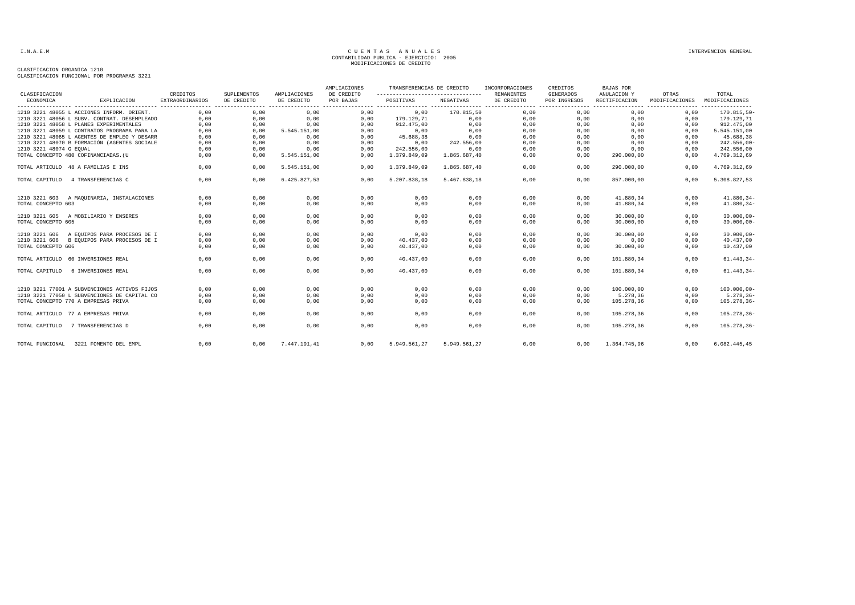| CLASIFICACION           |                                              | CREDITOS               | SUPLEMENTOS | AMPLIACIONES | AMPLIACIONES<br>DE CREDITO | TRANSFERENCIAS DE CREDITO<br>---------------------------------- |              | INCORPORACIONES<br><b>REMANENTES</b> | CREDITOS<br><b>GENERADOS</b> | <b>BAJAS POR</b><br>ANULACION Y            | OTRAS          | TOTAL                           |
|-------------------------|----------------------------------------------|------------------------|-------------|--------------|----------------------------|-----------------------------------------------------------------|--------------|--------------------------------------|------------------------------|--------------------------------------------|----------------|---------------------------------|
| ECONOMICA               | EXPLICACION                                  | <b>EXTRAORDINARIOS</b> | DE CREDITO  | DE CREDITO   | POR BAJAS                  | POSITIVAS                                                       | NEGATIVAS    | DE CREDITO                           | POR INGRESOS                 | RECTIFICACION                              | MODIFICACIONES | MODIFICACIONES                  |
|                         | 1210 3221 48055 L ACCIONES INFORM. ORIENT.   | 0,00                   | 0,00        | 0,00         | 0,00                       | 0,00                                                            | 170.815,50   | 0,00                                 | .<br>0,00                    | ---------------- -----------------<br>0,00 | 0,00           | ----------------<br>170.815,50- |
|                         | 1210 3221 48056 L SUBV. CONTRAT. DESEMPLEADO | 0,00                   | 0,00        | 0,00         | 0,00                       | 179.129,71                                                      | 0,00         | 0,00                                 | 0,00                         | 0,00                                       | 0,00           | 179.129,71                      |
|                         | 1210 3221 48058 L PLANES EXPERIMENTALES      | 0,00                   | 0,00        | 0,00         | 0,00                       | 912.475,00                                                      | 0,00         | 0,00                                 | 0,00                         | 0,00                                       | 0,00           | 912.475,00                      |
|                         | 1210 3221 48059 L CONTRATOS PROGRAMA PARA LA | 0,00                   | 0,00        | 5.545.151,00 | 0,00                       | 0.00                                                            | 0,00         | 0,00                                 | 0,00                         | 0.00                                       | 0.00           | 5.545.151,00                    |
|                         | 1210 3221 48065 L AGENTES DE EMPLEO Y DESARR | 0,00                   | 0,00        | 0,00         | 0,00                       | 45.688,38                                                       | 0,00         | 0,00                                 | 0,00                         | 0,00                                       | 0,00           | 45.688,38                       |
|                         | 1210 3221 48070 B FORMACIÓN (AGENTES SOCIALE | 0,00                   | 0,00        | 0,00         | 0,00                       | 0,00                                                            | 242.556,00   | 0,00                                 | 0,00                         | 0,00                                       | 0,00           | $242.556,00 -$                  |
| 1210 3221 48074 G EQUAL |                                              | 0,00                   | 0,00        | 0,00         | 0,00                       | 242.556,00                                                      | 0,00         | 0,00                                 | 0,00                         | 0,00                                       | 0,00           | 242.556,00                      |
|                         | TOTAL CONCEPTO 480 COFINANCIADAS. (U         | 0,00                   | 0,00        | 5.545.151,00 | 0,00                       | 1.379.849,09                                                    | 1.865.687,40 | 0,00                                 | 0,00                         | 290.000,00                                 | 0,00           | 4.769.312,69                    |
|                         | TOTAL ARTICULO 48 A FAMILIAS E INS           | 0,00                   | 0,00        | 5.545.151,00 | 0,00                       | 1.379.849,09                                                    | 1.865.687,40 | 0,00                                 | 0,00                         | 290.000,00                                 | 0,00           | 4.769.312,69                    |
| TOTAL CAPITULO          | 4 TRANSFERENCIAS C                           | 0.00                   | 0,00        | 6.425.827.53 | 0.00                       | 5.207.838.18                                                    | 5.467.838.18 | 0.00                                 | 0.00                         | 857.000.00                                 | 0.00           | 5.308.827,53                    |
| 1210 3221 603           | A MAQUINARIA, INSTALACIONES                  | 0,00                   | 0,00        | 0,00         | 0,00                       | 0,00                                                            | 0,00         | 0,00                                 | 0,00                         | 41.880,34                                  | 0,00           | 41.880,34-                      |
| TOTAL CONCEPTO 603      |                                              | 0,00                   | 0,00        | 0,00         | 0,00                       | 0,00                                                            | 0,00         | 0,00                                 | 0,00                         | 41.880,34                                  | 0,00           | 41.880,34-                      |
|                         | 1210 3221 605 A MOBILIARIO Y ENSERES         | 0,00                   | 0,00        | 0,00         | 0,00                       | 0,00                                                            | 0,00         | 0,00                                 | 0,00                         | 30.000,00                                  | 0,00           | $30.000,00-$                    |
| TOTAL CONCEPTO 605      |                                              | 0,00                   | 0,00        | 0,00         | 0,00                       | 0,00                                                            | 0,00         | 0,00                                 | 0,00                         | 30.000,00                                  | 0,00           | $30.000,00-$                    |
| 1210 3221 606           | A EQUIPOS PARA PROCESOS DE I                 | 0,00                   | 0,00        | 0,00         | 0,00                       | 0,00                                                            | 0,00         | 0,00                                 | 0,00                         | 30.000,00                                  | 0,00           | $30.000,00 -$                   |
|                         | 1210 3221 606 B EQUIPOS PARA PROCESOS DE I   | 0,00                   | 0,00        | 0,00         | 0,00                       | 40.437,00                                                       | 0,00         | 0,00                                 | 0,00                         | 0,00                                       | 0,00           | 40.437,00                       |
| TOTAL CONCEPTO 606      |                                              | 0,00                   | 0,00        | 0,00         | 0,00                       | 40.437,00                                                       | 0,00         | 0,00                                 | 0,00                         | 30.000,00                                  | 0,00           | 10.437,00                       |
|                         | TOTAL ARTICULO 60 INVERSIONES REAL           | 0,00                   | 0,00        | 0,00         | 0,00                       | 40.437,00                                                       | 0,00         | 0,00                                 | 0,00                         | 101.880,34                                 | 0,00           | $61.443, 34-$                   |
| TOTAL CAPITULO          | 6 INVERSIONES REAL                           | 0.00                   | 0,00        | 0.00         | 0,00                       | 40.437.00                                                       | 0,00         | 0,00                                 | 0,00                         | 101.880,34                                 | 0.00           | $61.443, 34-$                   |
|                         | 1210 3221 77001 A SUBVENCIONES ACTIVOS FIJOS | 0,00                   | 0,00        | 0,00         | 0,00                       | 0,00                                                            | 0,00         | 0,00                                 | 0,00                         | 100.000,00                                 | 0,00           | $100.000,00-$                   |
|                         | 1210 3221 77050 L SUBVENCIONES DE CAPITAL CO | 0,00                   | 0,00        | 0,00         | 0,00                       | 0,00                                                            | 0,00         | 0,00                                 | 0,00                         | 5.278.36                                   | 0,00           | $5.278, 36 -$                   |
|                         | TOTAL CONCEPTO 770 A EMPRESAS PRIVA          | 0.00                   | 0,00        | 0,00         | 0.00                       | 0.00                                                            | 0,00         | 0,00                                 | 0.00                         | 105.278,36                                 | 0.00           | 105.278,36-                     |
|                         | TOTAL ARTICULO 77 A EMPRESAS PRIVA           | 0.00                   | 0,00        | 0,00         | 0,00                       | 0.00                                                            | 0,00         | 0,00                                 | 0,00                         | 105.278,36                                 | 0.00           | 105.278,36-                     |
| TOTAL CAPITULO          | 7 TRANSFERENCIAS D                           | 0.00                   | 0,00        | 0.00         | 0,00                       | 0.00                                                            | 0,00         | 0,00                                 | 0.00                         | 105.278,36                                 | 0.00           | 105.278,36-                     |
| TOTAL FUNCIONAL         | 3221 FOMENTO DEL EMPL                        | 0,00                   | 0,00        | 7.447.191.41 | 0,00                       | 5.949.561.27                                                    | 5.949.561.27 | 0.00                                 | 0,00                         | 1.364.745.96                               | 0.00           | 6.082.445,45                    |